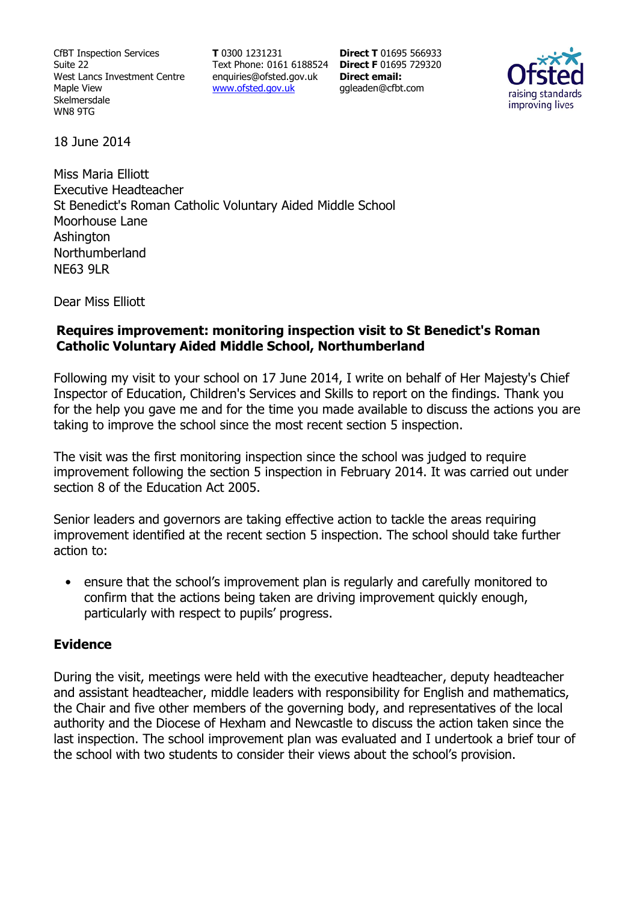CfBT Inspection Services Suite 22 West Lancs Investment Centre Maple View Skelmersdale WN8 9TG

**T** 0300 1231231 Text Phone: 0161 6188524 **Direct F** 01695 729320 enquiries@ofsted.gov.uk www.ofsted.gov.uk

**Direct T** 01695 566933 **Direct email:**  ggleaden@cfbt.com



18 June 2014

Miss Maria Elliott Executive Headteacher St Benedict's Roman Catholic Voluntary Aided Middle School Moorhouse Lane **Ashington** Northumberland NE63 9LR

Dear Miss Elliott

### **Requires improvement: monitoring inspection visit to St Benedict's Roman Catholic Voluntary Aided Middle School, Northumberland**

Following my visit to your school on 17 June 2014, I write on behalf of Her Majesty's Chief Inspector of Education, Children's Services and Skills to report on the findings. Thank you for the help you gave me and for the time you made available to discuss the actions you are taking to improve the school since the most recent section 5 inspection.

The visit was the first monitoring inspection since the school was judged to require improvement following the section 5 inspection in February 2014. It was carried out under section 8 of the Education Act 2005.

Senior leaders and governors are taking effective action to tackle the areas requiring improvement identified at the recent section 5 inspection. The school should take further action to:

• ensure that the school's improvement plan is regularly and carefully monitored to confirm that the actions being taken are driving improvement quickly enough, particularly with respect to pupils' progress.

#### **Evidence**

During the visit, meetings were held with the executive headteacher, deputy headteacher and assistant headteacher, middle leaders with responsibility for English and mathematics, the Chair and five other members of the governing body, and representatives of the local authority and the Diocese of Hexham and Newcastle to discuss the action taken since the last inspection. The school improvement plan was evaluated and I undertook a brief tour of the school with two students to consider their views about the school's provision.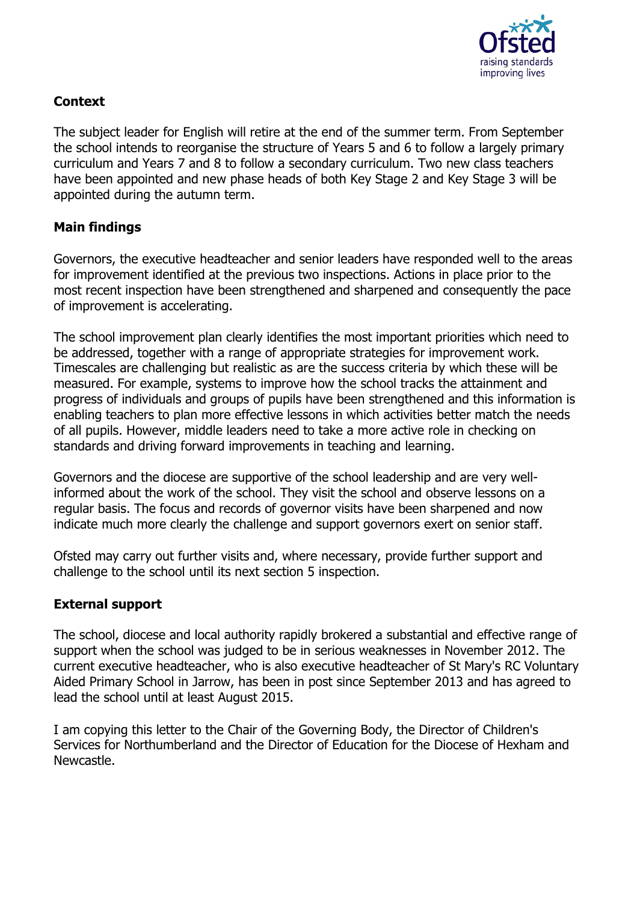

# **Context**

The subject leader for English will retire at the end of the summer term. From September the school intends to reorganise the structure of Years 5 and 6 to follow a largely primary curriculum and Years 7 and 8 to follow a secondary curriculum. Two new class teachers have been appointed and new phase heads of both Key Stage 2 and Key Stage 3 will be appointed during the autumn term.

# **Main findings**

Governors, the executive headteacher and senior leaders have responded well to the areas for improvement identified at the previous two inspections. Actions in place prior to the most recent inspection have been strengthened and sharpened and consequently the pace of improvement is accelerating.

The school improvement plan clearly identifies the most important priorities which need to be addressed, together with a range of appropriate strategies for improvement work. Timescales are challenging but realistic as are the success criteria by which these will be measured. For example, systems to improve how the school tracks the attainment and progress of individuals and groups of pupils have been strengthened and this information is enabling teachers to plan more effective lessons in which activities better match the needs of all pupils. However, middle leaders need to take a more active role in checking on standards and driving forward improvements in teaching and learning.

Governors and the diocese are supportive of the school leadership and are very wellinformed about the work of the school. They visit the school and observe lessons on a regular basis. The focus and records of governor visits have been sharpened and now indicate much more clearly the challenge and support governors exert on senior staff.

Ofsted may carry out further visits and, where necessary, provide further support and challenge to the school until its next section 5 inspection.

## **External support**

The school, diocese and local authority rapidly brokered a substantial and effective range of support when the school was judged to be in serious weaknesses in November 2012. The current executive headteacher, who is also executive headteacher of St Mary's RC Voluntary Aided Primary School in Jarrow, has been in post since September 2013 and has agreed to lead the school until at least August 2015.

I am copying this letter to the Chair of the Governing Body, the Director of Children's Services for Northumberland and the Director of Education for the Diocese of Hexham and Newcastle.